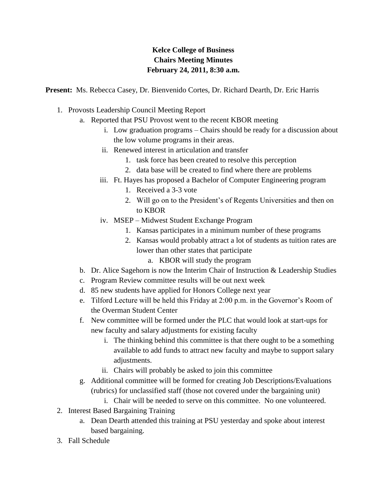## **Kelce College of Business Chairs Meeting Minutes February 24, 2011, 8:30 a.m.**

**Present:** Ms. Rebecca Casey, Dr. Bienvenido Cortes, Dr. Richard Dearth, Dr. Eric Harris

- 1. Provosts Leadership Council Meeting Report
	- a. Reported that PSU Provost went to the recent KBOR meeting
		- i. Low graduation programs Chairs should be ready for a discussion about the low volume programs in their areas.
		- ii. Renewed interest in articulation and transfer
			- 1. task force has been created to resolve this perception
			- 2. data base will be created to find where there are problems
		- iii. Ft. Hayes has proposed a Bachelor of Computer Engineering program
			- 1. Received a 3-3 vote
			- 2. Will go on to the President's of Regents Universities and then on to KBOR
		- iv. MSEP Midwest Student Exchange Program
			- 1. Kansas participates in a minimum number of these programs
			- 2. Kansas would probably attract a lot of students as tuition rates are lower than other states that participate
				- a. KBOR will study the program
	- b. Dr. Alice Sagehorn is now the Interim Chair of Instruction & Leadership Studies
	- c. Program Review committee results will be out next week
	- d. 85 new students have applied for Honors College next year
	- e. Tilford Lecture will be held this Friday at 2:00 p.m. in the Governor's Room of the Overman Student Center
	- f. New committee will be formed under the PLC that would look at start-ups for new faculty and salary adjustments for existing faculty
		- i. The thinking behind this committee is that there ought to be a something available to add funds to attract new faculty and maybe to support salary adjustments.
		- ii. Chairs will probably be asked to join this committee
	- g. Additional committee will be formed for creating Job Descriptions/Evaluations (rubrics) for unclassified staff (those not covered under the bargaining unit)
		- i. Chair will be needed to serve on this committee. No one volunteered.
- 2. Interest Based Bargaining Training
	- a. Dean Dearth attended this training at PSU yesterday and spoke about interest based bargaining.
- 3. Fall Schedule